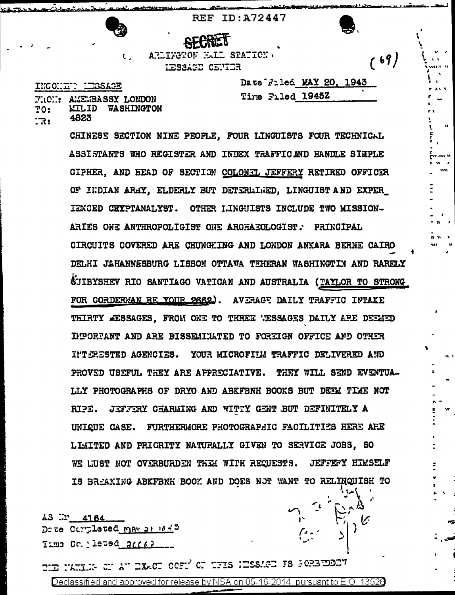REF ID: A72447

ARLINGTOF HALL STATION.  $\mathbf{U}_{\mathbf{A}}$  . LESSAGE CENTER

INCONDIC LEGSAGE

وبالكر ومروانيه والرابط والمراري والمحمد

FRON: AMEMBASSY LONDON **KILID WASHINGTON**  $TO:$ 4823  $\mathbb{R}$ :

Date Filed MAY 20, 1943 Tire Filed 1945Z

 $(69)$ 

jo za n

CHINESE SECTION NINE PEOPLE. FOUR LINGUISTS FOUR TECHNICAL ASSISTANTS WHO REGISTER AND INDEX TRAFFICAND HANDLE SIMPLE CIPHER, AND HEAD OF SECTION COLONEL JEFFERY RETIRED OFFICER OF INDIAN AREY, ELDERLY BUT DETERMINED, LINGUIST AND EXPER\_ IENCED CKYPTANALYST. OTHER LINGUISTS INCLUDE TWO MISSION-ARIES ONE ANTHROPOLIGIST ONE ARCHAEOLOGIST. PRINCIPAL CIRCUITS COVERED ARE CHUNGHING AND LONDON ANKARA BERNE CAIRO DELHI JAHANNESBURG LISBON OTTAWA TEHERAN WASHINGTIN AND RARELY **ÉJIBYSHEV RIO SANTIAGO VATICAN AND AUSTRALIA (TAYLOR TO STRONG** FOR CORDERMAN RE YOUR 2662). AVERGE DAILY TRAFFIC INTAKE THIRTY MESSAGES. FROM ONE TO THREE WESSAGES DAILY ARE DEEMED IMPORTANT AND ARE BISSEMINATED TO FOREIGN OFFICE AND OTHER INTERESTED AGENCIES. YOUR MICROFILM TRAFFIC DELIVERED AND PROVED USEFUL THEY ARE APPRECIATIVE. THEY WILL SEND EVENTUA-LLY PHOTOGRAPHS OF DRYO AND ABKFBNH BOOKS BUT DEEM TIME NOT RIPE. JEFFERY CHARMING AND WITTY GENT BUT DEFINITELY A UNIQUE CASE. FURTHERMORE PHOTOGRAPHIC FACILITIES HERE ARE LIMITED AND PRICRITY NATURALLY GIVEN TO SERVICE JOBS. SO WE LUST NOT OVERBURDEN THEM WITH REQUESTS. JEFFEFY HIMSELF IS BREAKING ABKFBNH BOOK AND DOES NOT WANT TO RELINQUISH TO

AS Wr 4164 Dete Completed May at 1643  $Time$  Co. leted  $2000$ 

THE NAME OF AT EXACT OCFI OF THIS HESSACE IS SORRIDEEN Declassified and approved for release by NSA on 05-16-2014 pursuant to E.O. 13526